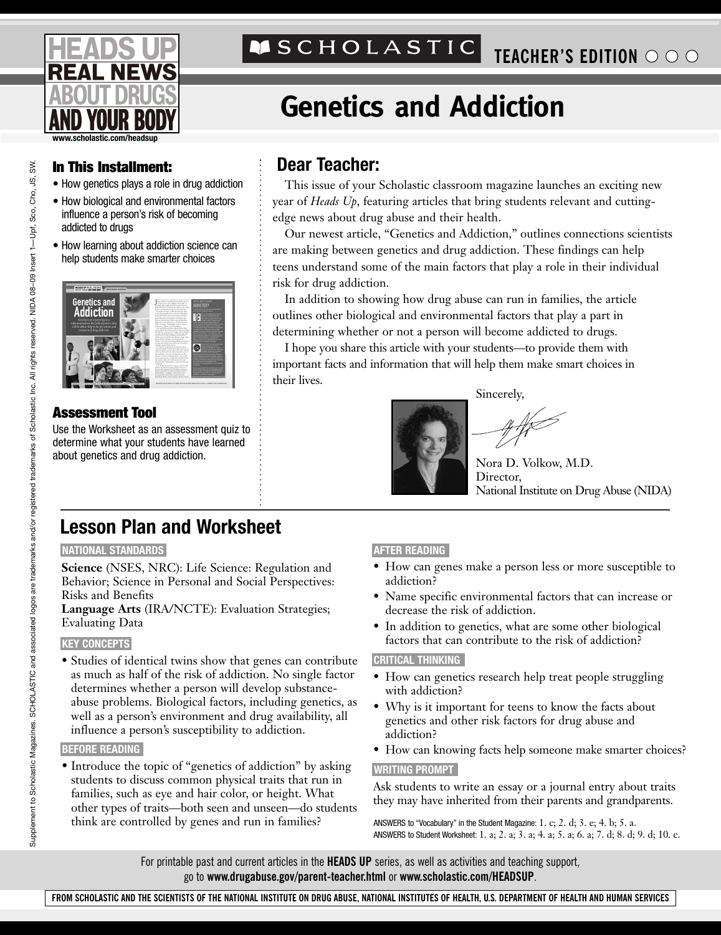

# **TEACHER'S EDITION O O O**

# **Genetics and Addiction**

## **In This Installment: Dear Teacher:**

- How genetics plays a role in drug addiction
- How biological and environmental factors influence a person's risk of becoming addicted to drugs
- How learning about addiction science can help students make smarter choices



## **Assessment Tool**

Use the Worksheet as an assessment quiz to determine what your students have learned about genetics and drug addiction.

This issue of your Scholastic classroom magazine launches an exciting new year of *Heads Up*, featuring articles that bring students relevant and cuttingedge news about drug abuse and their health.

Our newest article, "Genetics and Addiction," outlines connections scientists are making between genetics and drug addiction. These findings can help teens understand some of the main factors that play a role in their individual risk for drug addiction.

In addition to showing how drug abuse can run in families, the article outlines other biological and environmental factors that play a part in determining whether or not a person will become addicted to drugs.

I hope you share this article with your students—to provide them with important facts and information that will help them make smart choices in their lives.

Sincerely,



Nora D. Volkow, M.D. Director, National Institute on Drug Abuse (NIDA)

# **Lesson Plan and Worksheet**

#### **NATIONAL STANDARDS**

**Science** (NSES, NRC): Life Science: Regulation and Behavior; Science in Personal and Social Perspectives: Risks and Benefits

**Language Arts** (IRA/NCTE): Evaluation Strategies; Evaluating Data

### **KEY CONCEPTS**

• Studies of identical twins show that genes can contribute as much as half of the risk of addiction. No single factor determines whether a person will develop substanceabuse problems. Biological factors, including genetics, as well as a person's environment and drug availability, all influence a person's susceptibility to addiction.

#### **BEFORE READING**

• Introduce the topic of "genetics of addiction" by asking students to discuss common physical traits that run in families, such as eye and hair color, or height. What other types of traits—both seen and unseen—do students think are controlled by genes and run in families?

### **AFTER READING**

- How can genes make a person less or more susceptible to addiction?
- Name specific environmental factors that can increase or decrease the risk of addiction.
- In addition to genetics, what are some other biological factors that can contribute to the risk of addiction?

### **CRITICAL THINKING**

- How can genetics research help treat people struggling with addiction?
- Why is it important for teens to know the facts about genetics and other risk factors for drug abuse and addiction?
- How can knowing facts help someone make smarter choices?

#### **WRITING PROMPT**

Ask students to write an essay or a journal entry about traits they may have inherited from their parents and grandparents.

ANSWERS to "Vocabulary" in the Student Magazine: 1. c; 2. d; 3. e; 4. b; 5. a. ANSWERS to Student Worksheet: 1. a; 2. a; 3. a; 4. a; 5. a; 6. a; 7. d; 8. d; 9. d; 10. c.

For printable past and current articles in the **HEADS UP** series, as well as activities and teaching support, go to **www.drugabuse.gov/parent-teacher.html** or **www.scholastic.com/HEADSUP**.

**FROM SCHOLASTIC AND THE SCIENTISTS OF THE NATIONAL INSTITUTE ON DRUG ABUSE, NATIONAL INSTITUTES OF HEALTH, U.S. DEPARTMENT OF HEALTH AND HUMAN SERVICES**